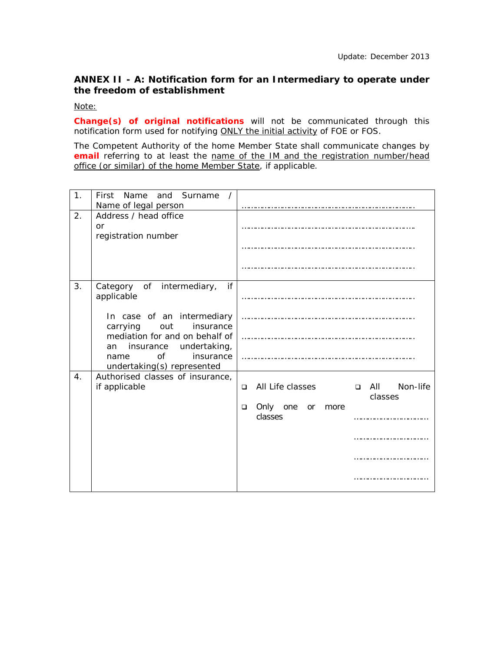## **ANNEX II - A: Notification form for an Intermediary to operate under the freedom of establishment**

*Note:*

*Change(s) of original notifications will not be communicated through this notification form used for notifying ONLY the initial activity of FOE or FOS.*

*The Competent Authority of the home Member State shall communicate changes by email referring to at least the name of the IM and the registration number/head office (or similar) of the home Member State, if applicable.*

| 1. | First Name and Surname<br>$\sqrt{ }$<br>Name of legal person                                                                                                                                                                              |                                                                                                                         |
|----|-------------------------------------------------------------------------------------------------------------------------------------------------------------------------------------------------------------------------------------------|-------------------------------------------------------------------------------------------------------------------------|
| 2. | Address / head office<br>or<br>registration number                                                                                                                                                                                        |                                                                                                                         |
| 3. | if<br>Category of intermediary,<br>applicable<br>In case of an intermediary<br>carrying<br>insurance<br>out<br>mediation for and on behalf of<br>undertaking,<br>insurance<br>an<br>Ωf<br>insurance<br>name<br>undertaking(s) represented |                                                                                                                         |
| 4. | Authorised classes of insurance,<br>if applicable                                                                                                                                                                                         | All Life classes<br>Non-life<br>o All<br>$\Box$<br>classes<br>Only<br>one<br>$\Box$<br><b>or</b><br>more<br>classes<br> |